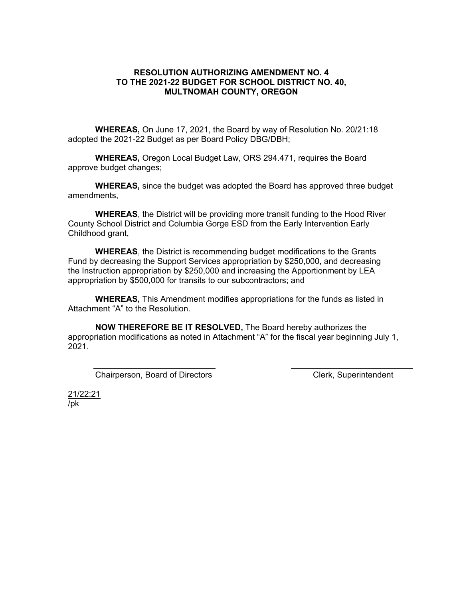## **RESOLUTION AUTHORIZING AMENDMENT NO. 4 TO THE 2021-22 BUDGET FOR SCHOOL DISTRICT NO. 40, MULTNOMAH COUNTY, OREGON**

**WHEREAS,** On June 17, 2021, the Board by way of Resolution No. 20/21:18 adopted the 2021-22 Budget as per Board Policy DBG/DBH;

**WHEREAS,** Oregon Local Budget Law, ORS 294.471, requires the Board approve budget changes;

**WHEREAS,** since the budget was adopted the Board has approved three budget amendments,

**WHEREAS**, the District will be providing more transit funding to the Hood River County School District and Columbia Gorge ESD from the Early Intervention Early Childhood grant,

**WHEREAS**, the District is recommending budget modifications to the Grants Fund by decreasing the Support Services appropriation by \$250,000, and decreasing the Instruction appropriation by \$250,000 and increasing the Apportionment by LEA appropriation by \$500,000 for transits to our subcontractors; and

**WHEREAS,** This Amendment modifies appropriations for the funds as listed in Attachment "A" to the Resolution.

**NOW THEREFORE BE IT RESOLVED,** The Board hereby authorizes the appropriation modifications as noted in Attachment "A" for the fiscal year beginning July 1, 2021.

Chairperson, Board of Directors **Chairperson**, Board of Directors **Clerk**, Superintendent

21/22:21 /pk